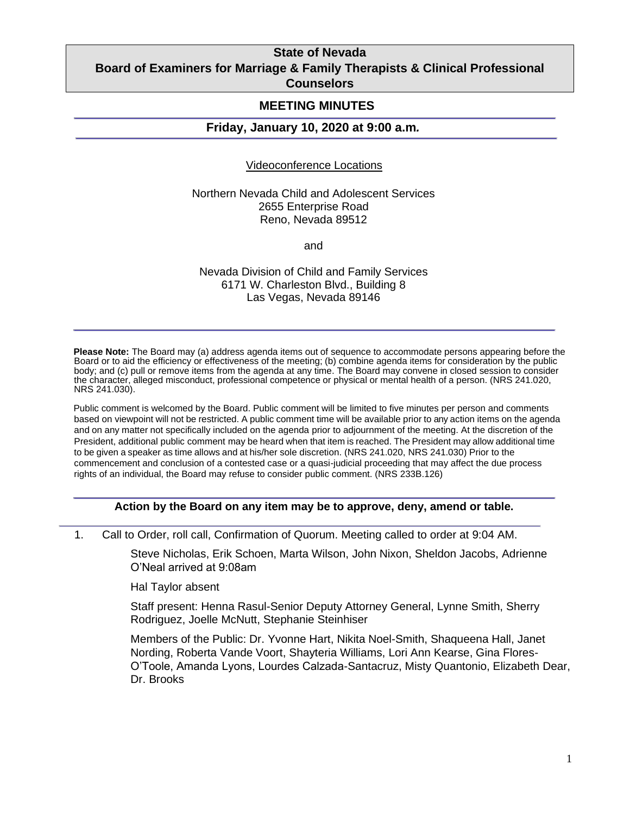# **State of Nevada Board of Examiners for Marriage & Family Therapists & Clinical Professional Counselors**

## **MEETING MINUTES**

## **Friday, January 10, 2020 at 9:00 a.m***.*

#### Videoconference Locations

Northern Nevada Child and Adolescent Services 2655 Enterprise Road Reno, Nevada 89512

and

Nevada Division of Child and Family Services 6171 W. Charleston Blvd., Building 8 Las Vegas, Nevada 89146

**Please Note:** The Board may (a) address agenda items out of sequence to accommodate persons appearing before the Board or to aid the efficiency or effectiveness of the meeting; (b) combine agenda items for consideration by the public body; and (c) pull or remove items from the agenda at any time. The Board may convene in closed session to consider the character, alleged misconduct, professional competence or physical or mental health of a person. (NRS 241.020, NRS 241.030).

Public comment is welcomed by the Board. Public comment will be limited to five minutes per person and comments based on viewpoint will not be restricted. A public comment time will be available prior to any action items on the agenda and on any matter not specifically included on the agenda prior to adjournment of the meeting. At the discretion of the President, additional public comment may be heard when that item is reached. The President may allow additional time to be given a speaker as time allows and at his/her sole discretion. (NRS 241.020, NRS 241.030) Prior to the commencement and conclusion of a contested case or a quasi-judicial proceeding that may affect the due process rights of an individual, the Board may refuse to consider public comment. (NRS 233B.126)

### **Action by the Board on any item may be to approve, deny, amend or table.**

1. Call to Order, roll call, Confirmation of Quorum. Meeting called to order at 9:04 AM.

Steve Nicholas, Erik Schoen, Marta Wilson, John Nixon, Sheldon Jacobs, Adrienne O'Neal arrived at 9:08am

Hal Taylor absent

Staff present: Henna Rasul-Senior Deputy Attorney General, Lynne Smith, Sherry Rodriguez, Joelle McNutt, Stephanie Steinhiser

Members of the Public: Dr. Yvonne Hart, Nikita Noel-Smith, Shaqueena Hall, Janet Nording, Roberta Vande Voort, Shayteria Williams, Lori Ann Kearse, Gina Flores-O'Toole, Amanda Lyons, Lourdes Calzada-Santacruz, Misty Quantonio, Elizabeth Dear, Dr. Brooks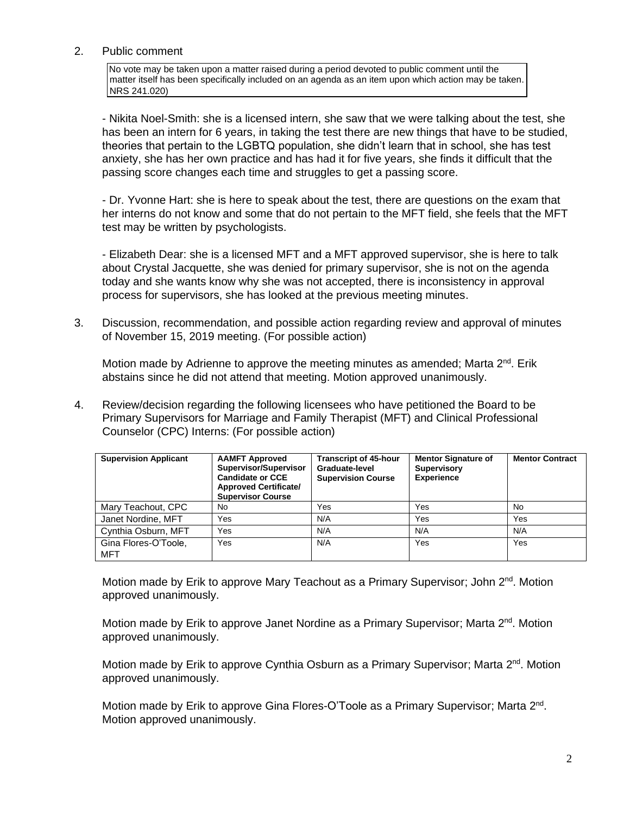## 2. Public comment

No vote may be taken upon a matter raised during a period devoted to public comment until the matter itself has been specifically included on an agenda as an item upon which action may be taken. NRS 241.020)

- Nikita Noel-Smith: she is a licensed intern, she saw that we were talking about the test, she has been an intern for 6 years, in taking the test there are new things that have to be studied, theories that pertain to the LGBTQ population, she didn't learn that in school, she has test anxiety, she has her own practice and has had it for five years, she finds it difficult that the passing score changes each time and struggles to get a passing score.

- Dr. Yvonne Hart: she is here to speak about the test, there are questions on the exam that her interns do not know and some that do not pertain to the MFT field, she feels that the MFT test may be written by psychologists.

- Elizabeth Dear: she is a licensed MFT and a MFT approved supervisor, she is here to talk about Crystal Jacquette, she was denied for primary supervisor, she is not on the agenda today and she wants know why she was not accepted, there is inconsistency in approval process for supervisors, she has looked at the previous meeting minutes.

3. Discussion, recommendation, and possible action regarding review and approval of minutes of November 15, 2019 meeting. (For possible action)

Motion made by Adrienne to approve the meeting minutes as amended; Marta 2<sup>nd</sup>. Erik abstains since he did not attend that meeting. Motion approved unanimously.

4. Review/decision regarding the following licensees who have petitioned the Board to be Primary Supervisors for Marriage and Family Therapist (MFT) and Clinical Professional Counselor (CPC) Interns: (For possible action)

| <b>Supervision Applicant</b> | <b>AAMFT Approved</b><br>Supervisor/Supervisor<br><b>Candidate or CCE</b><br><b>Approved Certificate/</b><br><b>Supervisor Course</b> | <b>Transcript of 45-hour</b><br>Graduate-level<br><b>Supervision Course</b> | <b>Mentor Signature of</b><br><b>Supervisory</b><br><b>Experience</b> | <b>Mentor Contract</b> |
|------------------------------|---------------------------------------------------------------------------------------------------------------------------------------|-----------------------------------------------------------------------------|-----------------------------------------------------------------------|------------------------|
| Mary Teachout, CPC           | No                                                                                                                                    | Yes                                                                         | Yes                                                                   | No.                    |
| Janet Nordine, MFT           | Yes                                                                                                                                   | N/A                                                                         | Yes                                                                   | Yes                    |
| Cynthia Osburn, MFT          | Yes                                                                                                                                   | N/A                                                                         | N/A                                                                   | N/A                    |
| Gina Flores-O'Toole,<br>MFT  | Yes                                                                                                                                   | N/A                                                                         | Yes                                                                   | Yes                    |

Motion made by Erik to approve Mary Teachout as a Primary Supervisor; John 2<sup>nd</sup>. Motion approved unanimously.

Motion made by Erik to approve Janet Nordine as a Primary Supervisor; Marta 2<sup>nd</sup>. Motion approved unanimously.

Motion made by Erik to approve Cynthia Osburn as a Primary Supervisor; Marta 2<sup>nd</sup>. Motion approved unanimously.

Motion made by Erik to approve Gina Flores-O'Toole as a Primary Supervisor; Marta 2<sup>nd</sup>. Motion approved unanimously.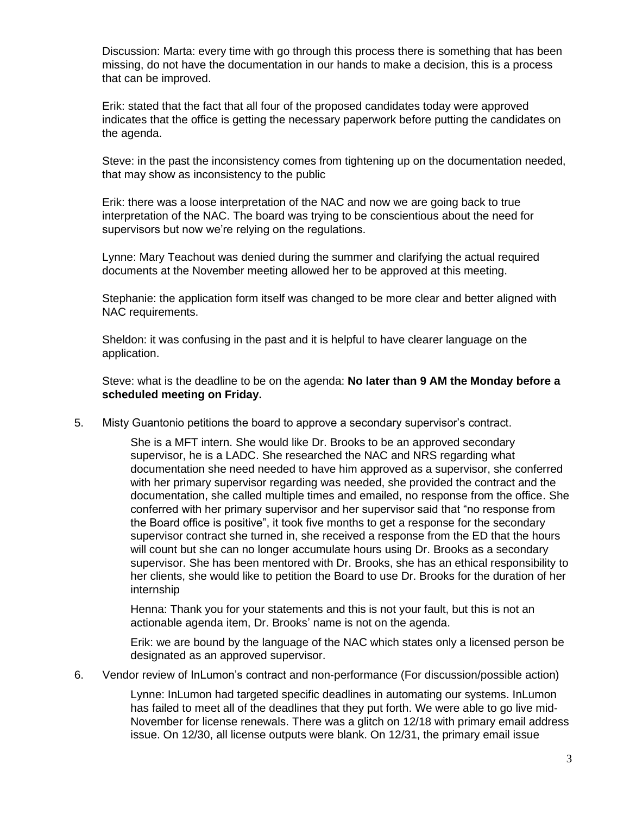Discussion: Marta: every time with go through this process there is something that has been missing, do not have the documentation in our hands to make a decision, this is a process that can be improved.

Erik: stated that the fact that all four of the proposed candidates today were approved indicates that the office is getting the necessary paperwork before putting the candidates on the agenda.

Steve: in the past the inconsistency comes from tightening up on the documentation needed, that may show as inconsistency to the public

Erik: there was a loose interpretation of the NAC and now we are going back to true interpretation of the NAC. The board was trying to be conscientious about the need for supervisors but now we're relying on the regulations.

Lynne: Mary Teachout was denied during the summer and clarifying the actual required documents at the November meeting allowed her to be approved at this meeting.

Stephanie: the application form itself was changed to be more clear and better aligned with NAC requirements.

Sheldon: it was confusing in the past and it is helpful to have clearer language on the application.

Steve: what is the deadline to be on the agenda: **No later than 9 AM the Monday before a scheduled meeting on Friday.**

5. Misty Guantonio petitions the board to approve a secondary supervisor's contract.

She is a MFT intern. She would like Dr. Brooks to be an approved secondary supervisor, he is a LADC. She researched the NAC and NRS regarding what documentation she need needed to have him approved as a supervisor, she conferred with her primary supervisor regarding was needed, she provided the contract and the documentation, she called multiple times and emailed, no response from the office. She conferred with her primary supervisor and her supervisor said that "no response from the Board office is positive", it took five months to get a response for the secondary supervisor contract she turned in, she received a response from the ED that the hours will count but she can no longer accumulate hours using Dr. Brooks as a secondary supervisor. She has been mentored with Dr. Brooks, she has an ethical responsibility to her clients, she would like to petition the Board to use Dr. Brooks for the duration of her internship

Henna: Thank you for your statements and this is not your fault, but this is not an actionable agenda item, Dr. Brooks' name is not on the agenda.

Erik: we are bound by the language of the NAC which states only a licensed person be designated as an approved supervisor.

6. Vendor review of InLumon's contract and non-performance (For discussion/possible action)

Lynne: InLumon had targeted specific deadlines in automating our systems. InLumon has failed to meet all of the deadlines that they put forth. We were able to go live mid-November for license renewals. There was a glitch on 12/18 with primary email address issue. On 12/30, all license outputs were blank. On 12/31, the primary email issue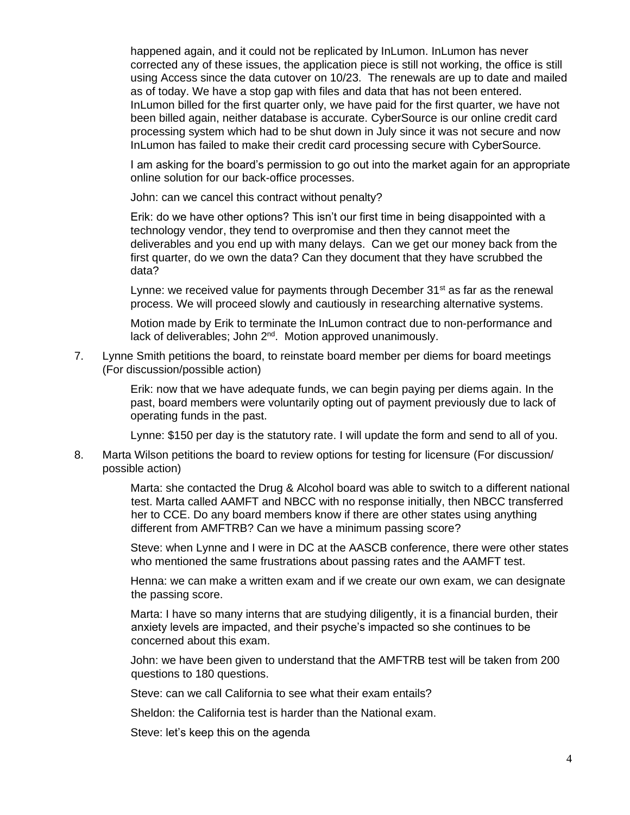happened again, and it could not be replicated by InLumon. InLumon has never corrected any of these issues, the application piece is still not working, the office is still using Access since the data cutover on 10/23. The renewals are up to date and mailed as of today. We have a stop gap with files and data that has not been entered. InLumon billed for the first quarter only, we have paid for the first quarter, we have not been billed again, neither database is accurate. CyberSource is our online credit card processing system which had to be shut down in July since it was not secure and now InLumon has failed to make their credit card processing secure with CyberSource.

I am asking for the board's permission to go out into the market again for an appropriate online solution for our back-office processes.

John: can we cancel this contract without penalty?

Erik: do we have other options? This isn't our first time in being disappointed with a technology vendor, they tend to overpromise and then they cannot meet the deliverables and you end up with many delays. Can we get our money back from the first quarter, do we own the data? Can they document that they have scrubbed the data?

Lynne: we received value for payments through December  $31<sup>st</sup>$  as far as the renewal process. We will proceed slowly and cautiously in researching alternative systems.

Motion made by Erik to terminate the InLumon contract due to non-performance and lack of deliverables; John 2<sup>nd</sup>. Motion approved unanimously.

7. Lynne Smith petitions the board, to reinstate board member per diems for board meetings (For discussion/possible action)

> Erik: now that we have adequate funds, we can begin paying per diems again. In the past, board members were voluntarily opting out of payment previously due to lack of operating funds in the past.

> Lynne: \$150 per day is the statutory rate. I will update the form and send to all of you.

8. Marta Wilson petitions the board to review options for testing for licensure (For discussion/ possible action)

> Marta: she contacted the Drug & Alcohol board was able to switch to a different national test. Marta called AAMFT and NBCC with no response initially, then NBCC transferred her to CCE. Do any board members know if there are other states using anything different from AMFTRB? Can we have a minimum passing score?

> Steve: when Lynne and I were in DC at the AASCB conference, there were other states who mentioned the same frustrations about passing rates and the AAMFT test.

> Henna: we can make a written exam and if we create our own exam, we can designate the passing score.

Marta: I have so many interns that are studying diligently, it is a financial burden, their anxiety levels are impacted, and their psyche's impacted so she continues to be concerned about this exam.

John: we have been given to understand that the AMFTRB test will be taken from 200 questions to 180 questions.

Steve: can we call California to see what their exam entails?

Sheldon: the California test is harder than the National exam.

Steve: let's keep this on the agenda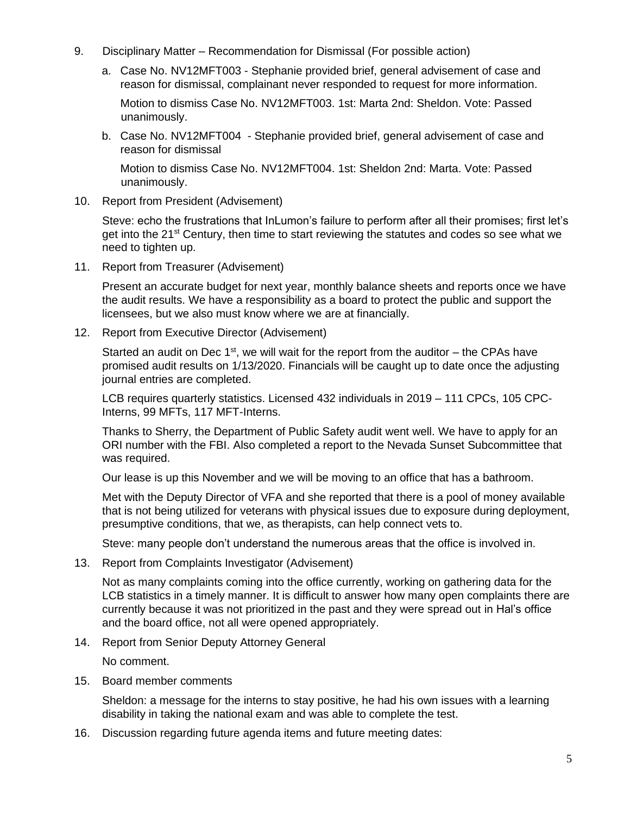- 9. Disciplinary Matter Recommendation for Dismissal (For possible action)
	- a. Case No. NV12MFT003 Stephanie provided brief, general advisement of case and reason for dismissal, complainant never responded to request for more information.

Motion to dismiss Case No. NV12MFT003. 1st: Marta 2nd: Sheldon. Vote: Passed unanimously.

b. Case No. NV12MFT004 - Stephanie provided brief, general advisement of case and reason for dismissal

Motion to dismiss Case No. NV12MFT004. 1st: Sheldon 2nd: Marta. Vote: Passed unanimously.

10. Report from President (Advisement)

Steve: echo the frustrations that InLumon's failure to perform after all their promises; first let's get into the  $21^{st}$  Century, then time to start reviewing the statutes and codes so see what we need to tighten up.

11. Report from Treasurer (Advisement)

Present an accurate budget for next year, monthly balance sheets and reports once we have the audit results. We have a responsibility as a board to protect the public and support the licensees, but we also must know where we are at financially.

12. Report from Executive Director (Advisement)

Started an audit on Dec  $1<sup>st</sup>$ , we will wait for the report from the auditor – the CPAs have promised audit results on 1/13/2020. Financials will be caught up to date once the adjusting journal entries are completed.

LCB requires quarterly statistics. Licensed 432 individuals in 2019 – 111 CPCs, 105 CPC-Interns, 99 MFTs, 117 MFT-Interns.

Thanks to Sherry, the Department of Public Safety audit went well. We have to apply for an ORI number with the FBI. Also completed a report to the Nevada Sunset Subcommittee that was required.

Our lease is up this November and we will be moving to an office that has a bathroom.

Met with the Deputy Director of VFA and she reported that there is a pool of money available that is not being utilized for veterans with physical issues due to exposure during deployment, presumptive conditions, that we, as therapists, can help connect vets to.

Steve: many people don't understand the numerous areas that the office is involved in.

13. Report from Complaints Investigator (Advisement)

Not as many complaints coming into the office currently, working on gathering data for the LCB statistics in a timely manner. It is difficult to answer how many open complaints there are currently because it was not prioritized in the past and they were spread out in Hal's office and the board office, not all were opened appropriately.

14. Report from Senior Deputy Attorney General

No comment.

15. Board member comments

Sheldon: a message for the interns to stay positive, he had his own issues with a learning disability in taking the national exam and was able to complete the test.

16. Discussion regarding future agenda items and future meeting dates: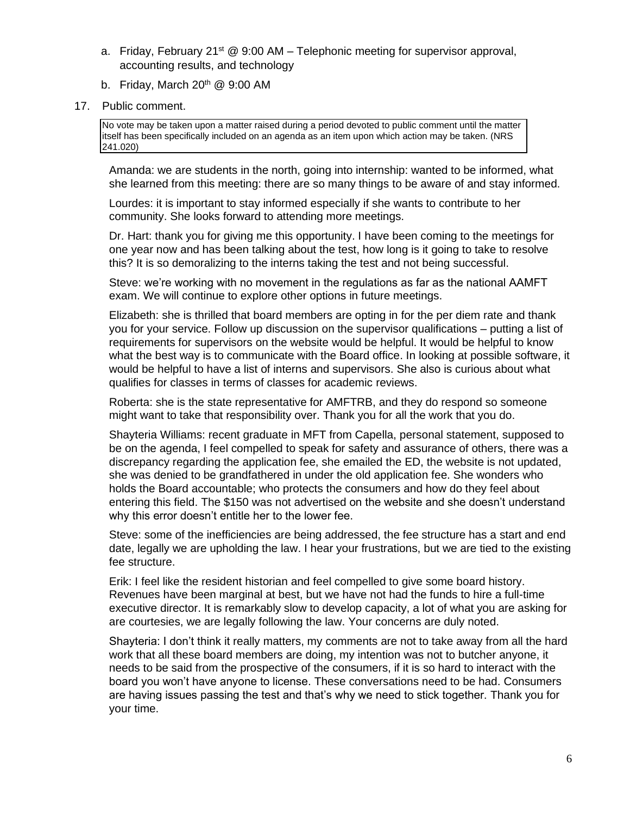- a. Friday, February 21<sup>st</sup> @ 9:00 AM Telephonic meeting for supervisor approval, accounting results, and technology
- b. Friday, March  $20<sup>th</sup>$  @ 9:00 AM
- 17. Public comment.

No vote may be taken upon a matter raised during a period devoted to public comment until the matter itself has been specifically included on an agenda as an item upon which action may be taken. (NRS 241.020)

Amanda: we are students in the north, going into internship: wanted to be informed, what she learned from this meeting: there are so many things to be aware of and stay informed.

Lourdes: it is important to stay informed especially if she wants to contribute to her community. She looks forward to attending more meetings.

Dr. Hart: thank you for giving me this opportunity. I have been coming to the meetings for one year now and has been talking about the test, how long is it going to take to resolve this? It is so demoralizing to the interns taking the test and not being successful.

Steve: we're working with no movement in the regulations as far as the national AAMFT exam. We will continue to explore other options in future meetings.

Elizabeth: she is thrilled that board members are opting in for the per diem rate and thank you for your service. Follow up discussion on the supervisor qualifications – putting a list of requirements for supervisors on the website would be helpful. It would be helpful to know what the best way is to communicate with the Board office. In looking at possible software, it would be helpful to have a list of interns and supervisors. She also is curious about what qualifies for classes in terms of classes for academic reviews.

Roberta: she is the state representative for AMFTRB, and they do respond so someone might want to take that responsibility over. Thank you for all the work that you do.

Shayteria Williams: recent graduate in MFT from Capella, personal statement, supposed to be on the agenda, I feel compelled to speak for safety and assurance of others, there was a discrepancy regarding the application fee, she emailed the ED, the website is not updated, she was denied to be grandfathered in under the old application fee. She wonders who holds the Board accountable; who protects the consumers and how do they feel about entering this field. The \$150 was not advertised on the website and she doesn't understand why this error doesn't entitle her to the lower fee.

Steve: some of the inefficiencies are being addressed, the fee structure has a start and end date, legally we are upholding the law. I hear your frustrations, but we are tied to the existing fee structure.

Erik: I feel like the resident historian and feel compelled to give some board history. Revenues have been marginal at best, but we have not had the funds to hire a full-time executive director. It is remarkably slow to develop capacity, a lot of what you are asking for are courtesies, we are legally following the law. Your concerns are duly noted.

Shayteria: I don't think it really matters, my comments are not to take away from all the hard work that all these board members are doing, my intention was not to butcher anyone, it needs to be said from the prospective of the consumers, if it is so hard to interact with the board you won't have anyone to license. These conversations need to be had. Consumers are having issues passing the test and that's why we need to stick together. Thank you for your time.